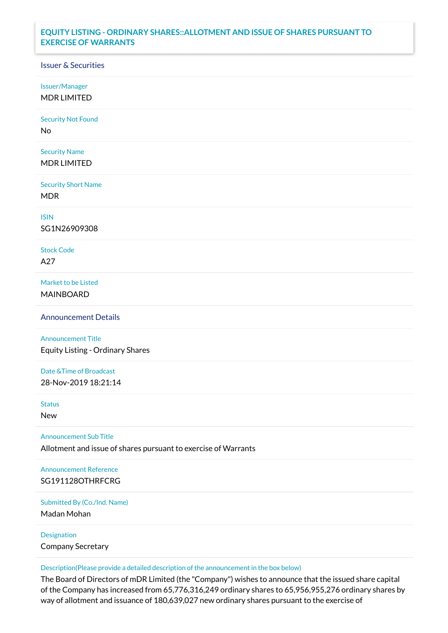## **EQUITY LISTING - ORDINARY SHARES::ALLOTMENT AND ISSUE OF SHARES PURSUANT TO EXERCISE OF WARRANTS**

## Issuer & Securities

Issuer/Manager

MDR LIMITED

Security Not Found

No

Security Name MDR LIMITED

Security Short Name MDR

ISIN

SG1N26909308

Stock Code A27

Market to be Listed MAINBOARD

Announcement Details

Announcement Title Equity Listing - Ordinary Shares

Date &Time of Broadcast 28-Nov-2019 18:21:14

Status

New

Announcement Sub Title

Allotment and issue of shares pursuant to exercise of Warrants

Announcement Reference SG191128OTHRFCRG

Submitted By (Co./Ind. Name)

Madan Mohan

Designation Company Secretary

Description(Please provide a detailed description of the announcement in the box below)

The Board of Directors of mDR Limited (the "Company") wishes to announce that the issued share capital of the Company has increased from 65,776,316,249 ordinary shares to 65,956,955,276 ordinary shares by way of allotment and issuance of 180,639,027 new ordinary shares pursuant to the exercise of